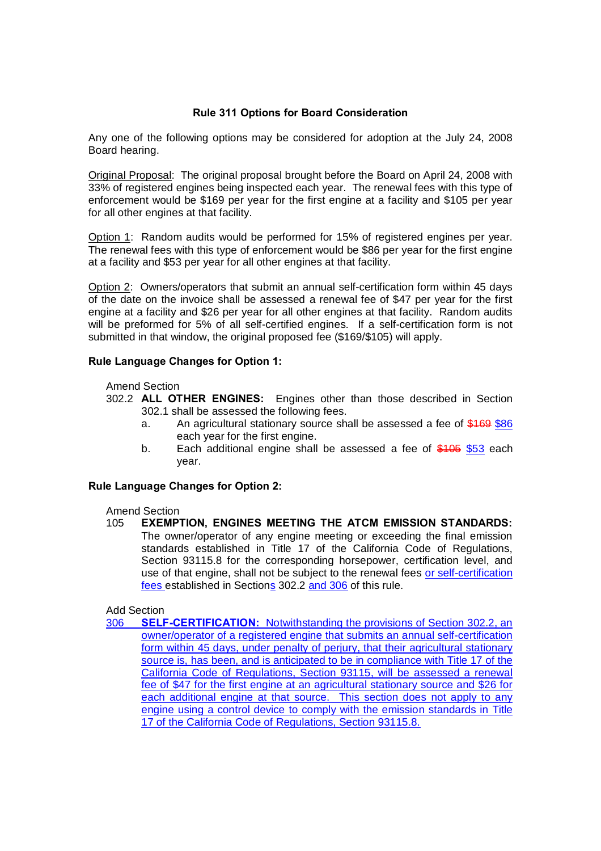## **Rule 311 Options for Board Consideration**

Any one of the following options may be considered for adoption at the July 24, 2008 Board hearing.

Original Proposal: The original proposal brought before the Board on April 24, 2008 with 33% of registered engines being inspected each year. The renewal fees with this type of enforcement would be \$169 per year for the first engine at a facility and \$105 per year for all other engines at that facility.

Option 1: Random audits would be performed for 15% of registered engines per year. The renewal fees with this type of enforcement would be \$86 per year for the first engine at a facility and \$53 per year for all other engines at that facility.

Option 2: Owners/operators that submit an annual self-certification form within 45 days of the date on the invoice shall be assessed a renewal fee of \$47 per year for the first engine at a facility and \$26 per year for all other engines at that facility. Random audits will be preformed for 5% of all self-certified engines. If a self-certification form is not submitted in that window, the original proposed fee (\$169/\$105) will apply.

## **Rule Language Changes for Option 1:**

Amend Section

- 302.2 **ALL OTHER ENGINES:** Engines other than those described in Section 302.1 shall be assessed the following fees.
	- a. An agricultural stationary source shall be assessed a fee of \$169 \$86 each year for the first engine.
	- b. Each additional engine shall be assessed a fee of \$105 \$53 each year.

## **Rule Language Changes for Option 2:**

Amend Section

105 **EXEMPTION, ENGINES MEETING THE ATCM EMISSION STANDARDS:** The owner/operator of any engine meeting or exceeding the final emission standards established in Title 17 of the California Code of Regulations, Section 93115.8 for the corresponding horsepower, certification level, and use of that engine, shall not be subject to the renewal fees or self-certification fees established in Sections 302.2 and 306 of this rule.

## Add Section

306 **SELF-CERTIFICATION:** Notwithstanding the provisions of Section 302.2, an owner/operator of a registered engine that submits an annual self-certification form within 45 days, under penalty of perjury, that their agricultural stationary source is, has been, and is anticipated to be in compliance with Title 17 of the California Code of Regulations, Section 93115, will be assessed a renewal fee of \$47 for the first engine at an agricultural stationary source and \$26 for each additional engine at that source. This section does not apply to any engine using a control device to comply with the emission standards in Title 17 of the California Code of Regulations, Section 93115.8.